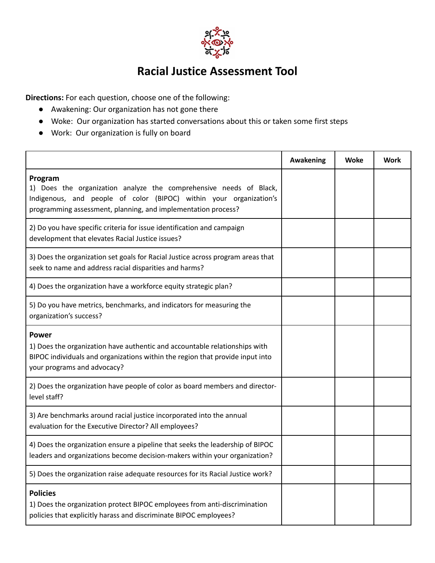

## **Racial Justice Assessment Tool**

**Directions:** For each question, choose one of the following:

- Awakening: Our organization has not gone there
- Woke: Our organization has started conversations about this or taken some first steps
- Work: Our organization is fully on board

|                                                                                                                                                                                                                      | <b>Awakening</b> | <b>Woke</b> | <b>Work</b> |
|----------------------------------------------------------------------------------------------------------------------------------------------------------------------------------------------------------------------|------------------|-------------|-------------|
| Program<br>1) Does the organization analyze the comprehensive needs of Black,<br>Indigenous, and people of color (BIPOC) within your organization's<br>programming assessment, planning, and implementation process? |                  |             |             |
| 2) Do you have specific criteria for issue identification and campaign<br>development that elevates Racial Justice issues?                                                                                           |                  |             |             |
| 3) Does the organization set goals for Racial Justice across program areas that<br>seek to name and address racial disparities and harms?                                                                            |                  |             |             |
| 4) Does the organization have a workforce equity strategic plan?                                                                                                                                                     |                  |             |             |
| 5) Do you have metrics, benchmarks, and indicators for measuring the<br>organization's success?                                                                                                                      |                  |             |             |
| <b>Power</b><br>1) Does the organization have authentic and accountable relationships with<br>BIPOC individuals and organizations within the region that provide input into<br>your programs and advocacy?           |                  |             |             |
| 2) Does the organization have people of color as board members and director-<br>level staff?                                                                                                                         |                  |             |             |
| 3) Are benchmarks around racial justice incorporated into the annual<br>evaluation for the Executive Director? All employees?                                                                                        |                  |             |             |
| 4) Does the organization ensure a pipeline that seeks the leadership of BIPOC<br>leaders and organizations become decision-makers within your organization?                                                          |                  |             |             |
| 5) Does the organization raise adequate resources for its Racial Justice work?                                                                                                                                       |                  |             |             |
| <b>Policies</b><br>1) Does the organization protect BIPOC employees from anti-discrimination<br>policies that explicitly harass and discriminate BIPOC employees?                                                    |                  |             |             |